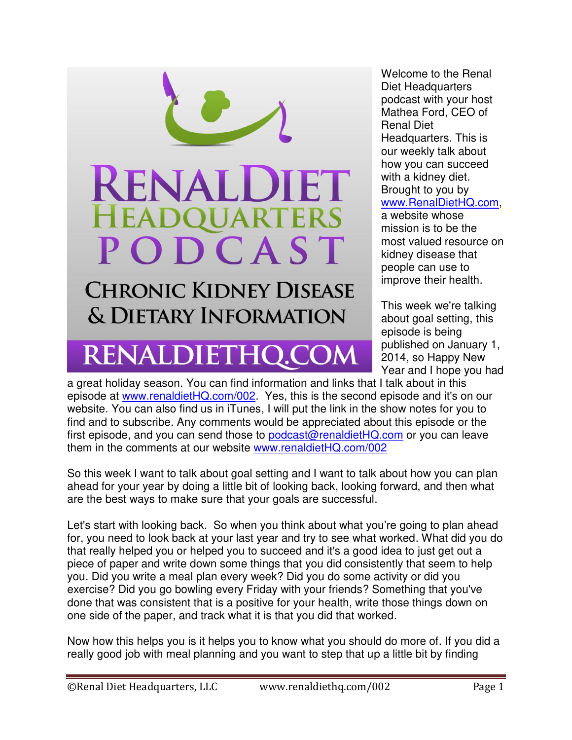

## RENALDIETHQ.COM

Welcome to the Renal Diet Headquarters podcast with your host Mathea Ford, CEO of Renal Diet Headquarters. This is our weekly talk about how you can succeed with a kidney diet. Brought to you by [www.RenalDietHQ.com,](file:///C:/Users/My%20computer%20Dorsa/Desktop/www.RenalDietHQ.com) a website whose mission is to be the most valued resource on kidney disease that people can use to improve their health.

This week we're talking about goal setting, this episode is being published on January 1, 2014, so Happy New Year and I hope you had

a great holiday season. You can find information and links that I talk about in this episode at [www.renaldietHQ.com/002.](http://www.renaldiethq.com/002) Yes, this is the second episode and it's on our website. You can also find us in iTunes, I will put the link in the show notes for you to find and to subscribe. Any comments would be appreciated about this episode or the first episode, and you can send those to [podcast@renaldietHQ.com](file:///C:/Users/My%20computer%20Dorsa/Desktop/podcast@renaldietHQ.com) or you can leave them in the comments at our website [www.renaldietHQ.com/002](file:///C:/Users/My%20computer%20Dorsa/Desktop/www.renaldietHQ.com/002)

So this week I want to talk about goal setting and I want to talk about how you can plan ahead for your year by doing a little bit of looking back, looking forward, and then what are the best ways to make sure that your goals are successful.

Let's start with looking back. So when you think about what you're going to plan ahead for, you need to look back at your last year and try to see what worked. What did you do that really helped you or helped you to succeed and it's a good idea to just get out a piece of paper and write down some things that you did consistently that seem to help you. Did you write a meal plan every week? Did you do some activity or did you exercise? Did you go bowling every Friday with your friends? Something that you've done that was consistent that is a positive for your health, write those things down on one side of the paper, and track what it is that you did that worked.

Now how this helps you is it helps you to know what you should do more of. If you did a really good job with meal planning and you want to step that up a little bit by finding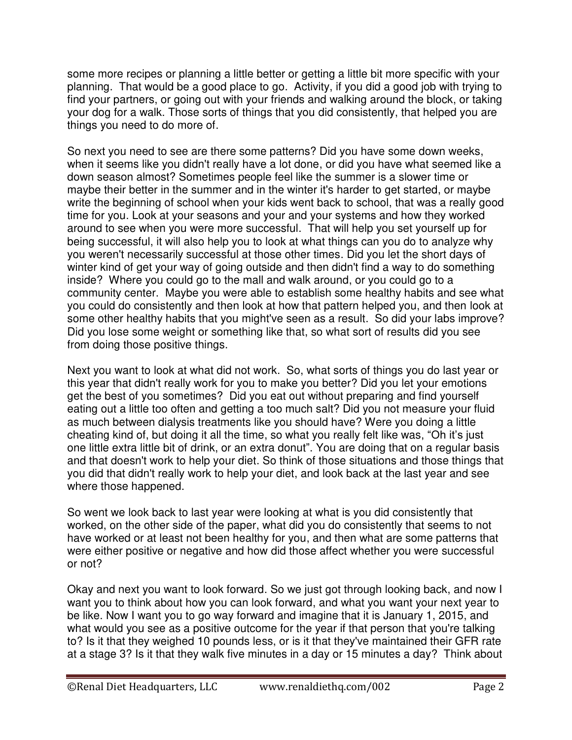some more recipes or planning a little better or getting a little bit more specific with your planning. That would be a good place to go. Activity, if you did a good job with trying to find your partners, or going out with your friends and walking around the block, or taking your dog for a walk. Those sorts of things that you did consistently, that helped you are things you need to do more of.

So next you need to see are there some patterns? Did you have some down weeks, when it seems like you didn't really have a lot done, or did you have what seemed like a down season almost? Sometimes people feel like the summer is a slower time or maybe their better in the summer and in the winter it's harder to get started, or maybe write the beginning of school when your kids went back to school, that was a really good time for you. Look at your seasons and your and your systems and how they worked around to see when you were more successful. That will help you set yourself up for being successful, it will also help you to look at what things can you do to analyze why you weren't necessarily successful at those other times. Did you let the short days of winter kind of get your way of going outside and then didn't find a way to do something inside? Where you could go to the mall and walk around, or you could go to a community center. Maybe you were able to establish some healthy habits and see what you could do consistently and then look at how that pattern helped you, and then look at some other healthy habits that you might've seen as a result. So did your labs improve? Did you lose some weight or something like that, so what sort of results did you see from doing those positive things.

Next you want to look at what did not work. So, what sorts of things you do last year or this year that didn't really work for you to make you better? Did you let your emotions get the best of you sometimes? Did you eat out without preparing and find yourself eating out a little too often and getting a too much salt? Did you not measure your fluid as much between dialysis treatments like you should have? Were you doing a little cheating kind of, but doing it all the time, so what you really felt like was, "Oh it's just one little extra little bit of drink, or an extra donut". You are doing that on a regular basis and that doesn't work to help your diet. So think of those situations and those things that you did that didn't really work to help your diet, and look back at the last year and see where those happened.

So went we look back to last year were looking at what is you did consistently that worked, on the other side of the paper, what did you do consistently that seems to not have worked or at least not been healthy for you, and then what are some patterns that were either positive or negative and how did those affect whether you were successful or not?

Okay and next you want to look forward. So we just got through looking back, and now I want you to think about how you can look forward, and what you want your next year to be like. Now I want you to go way forward and imagine that it is January 1, 2015, and what would you see as a positive outcome for the year if that person that you're talking to? Is it that they weighed 10 pounds less, or is it that they've maintained their GFR rate at a stage 3? Is it that they walk five minutes in a day or 15 minutes a day? Think about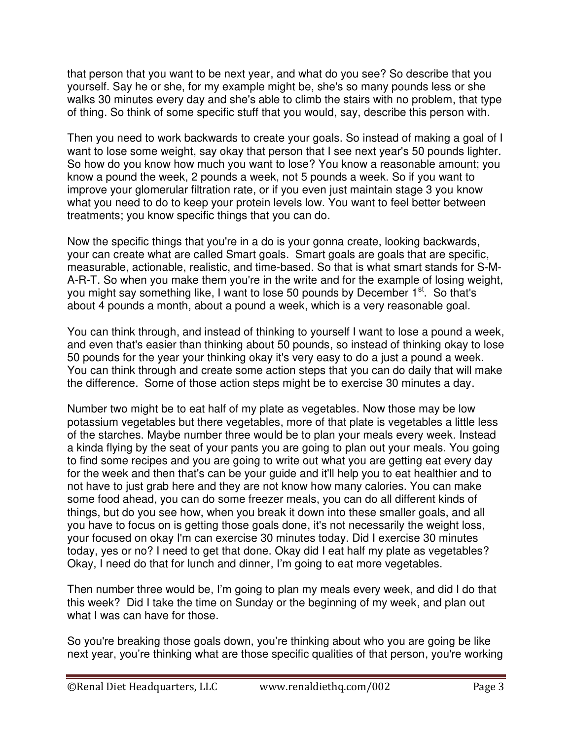that person that you want to be next year, and what do you see? So describe that you yourself. Say he or she, for my example might be, she's so many pounds less or she walks 30 minutes every day and she's able to climb the stairs with no problem, that type of thing. So think of some specific stuff that you would, say, describe this person with.

Then you need to work backwards to create your goals. So instead of making a goal of I want to lose some weight, say okay that person that I see next year's 50 pounds lighter. So how do you know how much you want to lose? You know a reasonable amount; you know a pound the week, 2 pounds a week, not 5 pounds a week. So if you want to improve your glomerular filtration rate, or if you even just maintain stage 3 you know what you need to do to keep your protein levels low. You want to feel better between treatments; you know specific things that you can do.

Now the specific things that you're in a do is your gonna create, looking backwards, your can create what are called Smart goals. Smart goals are goals that are specific, measurable, actionable, realistic, and time-based. So that is what smart stands for S-M-A-R-T. So when you make them you're in the write and for the example of losing weight, you might say something like, I want to lose 50 pounds by December 1<sup>st</sup>. So that's about 4 pounds a month, about a pound a week, which is a very reasonable goal.

You can think through, and instead of thinking to yourself I want to lose a pound a week, and even that's easier than thinking about 50 pounds, so instead of thinking okay to lose 50 pounds for the year your thinking okay it's very easy to do a just a pound a week. You can think through and create some action steps that you can do daily that will make the difference. Some of those action steps might be to exercise 30 minutes a day.

Number two might be to eat half of my plate as vegetables. Now those may be low potassium vegetables but there vegetables, more of that plate is vegetables a little less of the starches. Maybe number three would be to plan your meals every week. Instead a kinda flying by the seat of your pants you are going to plan out your meals. You going to find some recipes and you are going to write out what you are getting eat every day for the week and then that's can be your guide and it'll help you to eat healthier and to not have to just grab here and they are not know how many calories. You can make some food ahead, you can do some freezer meals, you can do all different kinds of things, but do you see how, when you break it down into these smaller goals, and all you have to focus on is getting those goals done, it's not necessarily the weight loss, your focused on okay I'm can exercise 30 minutes today. Did I exercise 30 minutes today, yes or no? I need to get that done. Okay did I eat half my plate as vegetables? Okay, I need do that for lunch and dinner, I'm going to eat more vegetables.

Then number three would be, I'm going to plan my meals every week, and did I do that this week? Did I take the time on Sunday or the beginning of my week, and plan out what I was can have for those.

So you're breaking those goals down, you're thinking about who you are going be like next year, you're thinking what are those specific qualities of that person, you're working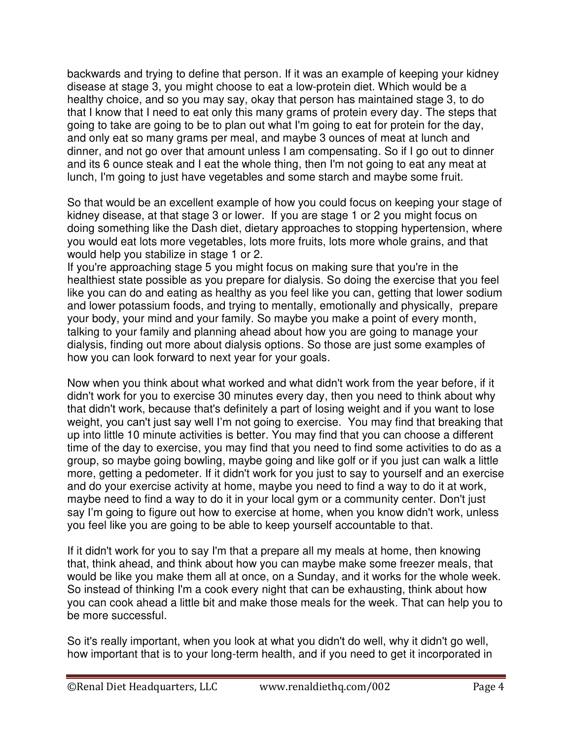backwards and trying to define that person. If it was an example of keeping your kidney disease at stage 3, you might choose to eat a low-protein diet. Which would be a healthy choice, and so you may say, okay that person has maintained stage 3, to do that I know that I need to eat only this many grams of protein every day. The steps that going to take are going to be to plan out what I'm going to eat for protein for the day, and only eat so many grams per meal, and maybe 3 ounces of meat at lunch and dinner, and not go over that amount unless I am compensating. So if I go out to dinner and its 6 ounce steak and I eat the whole thing, then I'm not going to eat any meat at lunch, I'm going to just have vegetables and some starch and maybe some fruit.

So that would be an excellent example of how you could focus on keeping your stage of kidney disease, at that stage 3 or lower. If you are stage 1 or 2 you might focus on doing something like the Dash diet, dietary approaches to stopping hypertension, where you would eat lots more vegetables, lots more fruits, lots more whole grains, and that would help you stabilize in stage 1 or 2.

If you're approaching stage 5 you might focus on making sure that you're in the healthiest state possible as you prepare for dialysis. So doing the exercise that you feel like you can do and eating as healthy as you feel like you can, getting that lower sodium and lower potassium foods, and trying to mentally, emotionally and physically, prepare your body, your mind and your family. So maybe you make a point of every month, talking to your family and planning ahead about how you are going to manage your dialysis, finding out more about dialysis options. So those are just some examples of how you can look forward to next year for your goals.

Now when you think about what worked and what didn't work from the year before, if it didn't work for you to exercise 30 minutes every day, then you need to think about why that didn't work, because that's definitely a part of losing weight and if you want to lose weight, you can't just say well I'm not going to exercise. You may find that breaking that up into little 10 minute activities is better. You may find that you can choose a different time of the day to exercise, you may find that you need to find some activities to do as a group, so maybe going bowling, maybe going and like golf or if you just can walk a little more, getting a pedometer. If it didn't work for you just to say to yourself and an exercise and do your exercise activity at home, maybe you need to find a way to do it at work, maybe need to find a way to do it in your local gym or a community center. Don't just say I'm going to figure out how to exercise at home, when you know didn't work, unless you feel like you are going to be able to keep yourself accountable to that.

If it didn't work for you to say I'm that a prepare all my meals at home, then knowing that, think ahead, and think about how you can maybe make some freezer meals, that would be like you make them all at once, on a Sunday, and it works for the whole week. So instead of thinking I'm a cook every night that can be exhausting, think about how you can cook ahead a little bit and make those meals for the week. That can help you to be more successful.

So it's really important, when you look at what you didn't do well, why it didn't go well, how important that is to your long-term health, and if you need to get it incorporated in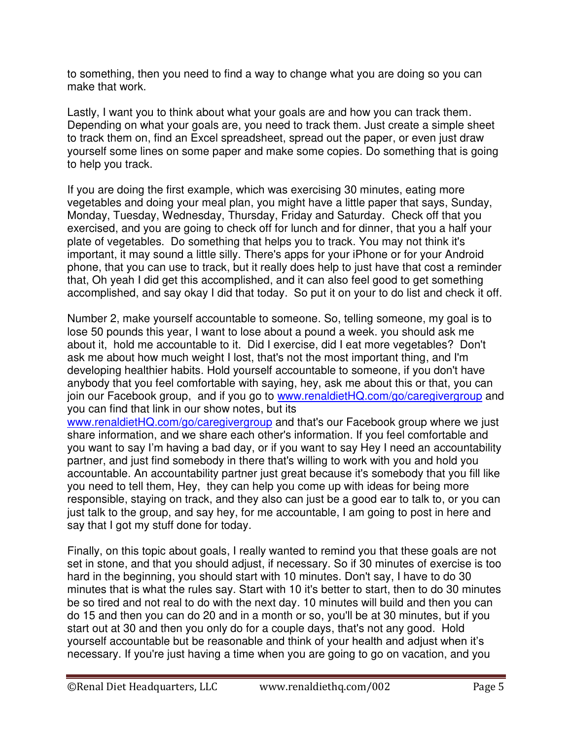to something, then you need to find a way to change what you are doing so you can make that work.

Lastly, I want you to think about what your goals are and how you can track them. Depending on what your goals are, you need to track them. Just create a simple sheet to track them on, find an Excel spreadsheet, spread out the paper, or even just draw yourself some lines on some paper and make some copies. Do something that is going to help you track.

If you are doing the first example, which was exercising 30 minutes, eating more vegetables and doing your meal plan, you might have a little paper that says, Sunday, Monday, Tuesday, Wednesday, Thursday, Friday and Saturday. Check off that you exercised, and you are going to check off for lunch and for dinner, that you a half your plate of vegetables. Do something that helps you to track. You may not think it's important, it may sound a little silly. There's apps for your iPhone or for your Android phone, that you can use to track, but it really does help to just have that cost a reminder that, Oh yeah I did get this accomplished, and it can also feel good to get something accomplished, and say okay I did that today. So put it on your to do list and check it off.

Number 2, make yourself accountable to someone. So, telling someone, my goal is to lose 50 pounds this year, I want to lose about a pound a week. you should ask me about it, hold me accountable to it. Did I exercise, did I eat more vegetables? Don't ask me about how much weight I lost, that's not the most important thing, and I'm developing healthier habits. Hold yourself accountable to someone, if you don't have anybody that you feel comfortable with saying, hey, ask me about this or that, you can join our Facebook group, and if you go to [www.renaldietHQ.com/go/caregivergroup](file:///C:/Users/My%20computer%20Dorsa/Desktop/www.renaldietHQ.com/go/caregivergroup) and you can find that link in our show notes, but its

[www.renaldietHQ.com/go/caregivergroup](file:///C:/Users/My%20computer%20Dorsa/Desktop/www.renaldietHQ.com/go/caregivergroup) and that's our Facebook group where we just share information, and we share each other's information. If you feel comfortable and you want to say I'm having a bad day, or if you want to say Hey I need an accountability partner, and just find somebody in there that's willing to work with you and hold you accountable. An accountability partner just great because it's somebody that you fill like you need to tell them, Hey, they can help you come up with ideas for being more responsible, staying on track, and they also can just be a good ear to talk to, or you can just talk to the group, and say hey, for me accountable, I am going to post in here and say that I got my stuff done for today.

Finally, on this topic about goals, I really wanted to remind you that these goals are not set in stone, and that you should adjust, if necessary. So if 30 minutes of exercise is too hard in the beginning, you should start with 10 minutes. Don't say, I have to do 30 minutes that is what the rules say. Start with 10 it's better to start, then to do 30 minutes be so tired and not real to do with the next day. 10 minutes will build and then you can do 15 and then you can do 20 and in a month or so, you'll be at 30 minutes, but if you start out at 30 and then you only do for a couple days, that's not any good. Hold yourself accountable but be reasonable and think of your health and adjust when it's necessary. If you're just having a time when you are going to go on vacation, and you